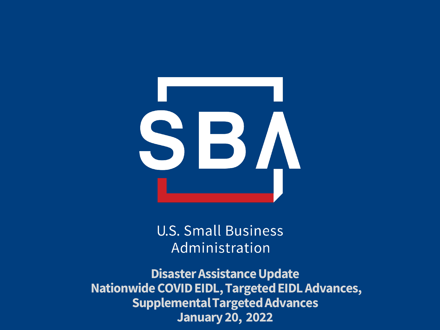

**U.S. Small Business** Administration

**Disaster Assistance Update Nationwide COVID EIDL, Targeted EIDL Advances, Supplemental Targeted Advances January 20, 2022**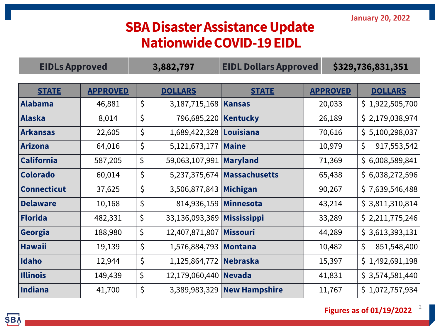### **SBA Disaster Assistance Update Nationwide COVID-19 EIDL**

| <b>EIDLs Approved</b> |                 | 3,882,797 |                            | <b>EIDL Dollars Approved</b>  |  | \$329,736,831,351 |                    |  |
|-----------------------|-----------------|-----------|----------------------------|-------------------------------|--|-------------------|--------------------|--|
|                       |                 |           |                            |                               |  |                   |                    |  |
| <b>STATE</b>          | <b>APPROVED</b> |           | <b>DOLLARS</b>             | <b>STATE</b>                  |  | <b>APPROVED</b>   | <b>DOLLARS</b>     |  |
| Alabama               | 46,881          | $\zeta$   | 3,187,715,168   Kansas     |                               |  | 20,033            | \$1,922,505,700    |  |
| Alaska                | 8,014           | $\zeta$   | 796,685,220   Kentucky     |                               |  | 26,189            | \$2,179,038,974    |  |
| Arkansas              | 22,605          | $\zeta$   | 1,689,422,328   Louisiana  |                               |  | 70,616            | \$5,100,298,037    |  |
| Arizona               | 64,016          | $\zeta$   | 5,121,673,177   Maine      |                               |  | 10,979            | \$.<br>917,553,542 |  |
| <b>California</b>     | 587,205         | \$        | 59,063,107,991 Maryland    |                               |  | 71,369            | \$6,008,589,841    |  |
| <b>Colorado</b>       | 60,014          | $\zeta$   |                            | 5,237,375,674   Massachusetts |  | 65,438            | \$6,038,272,596    |  |
| <b>Connecticut</b>    | 37,625          | $\zeta$   | 3,506,877,843 Michigan     |                               |  | 90,267            | \$7,639,546,488    |  |
| <b>Delaware</b>       | 10,168          | $\zeta$   | 814,936,159 Minnesota      |                               |  | 43,214            | \$3,811,310,814    |  |
| Florida               | 482,331         | \$        | 33,136,093,369 Mississippi |                               |  | 33,289            | \$2,211,775,246    |  |
| Georgia               | 188,980         | \$        | 12,407,871,807   Missouri  |                               |  | 44,289            | \$3,613,393,131    |  |
| <b>Hawaii</b>         | 19,139          | $\zeta$   | 1,576,884,793   Montana    |                               |  | 10,482            | \$<br>851,548,400  |  |
| Idaho                 | 12,944          | $\zeta$   | 1,125,864,772 Nebraska     |                               |  | 15,397            | \$1,492,691,198    |  |
| <b>Illinois</b>       | 149,439         | \$        | 12,179,060,440 Nevada      |                               |  | 41,831            | \$3,574,581,440    |  |
| Indiana               | 41,700          | \$        |                            | 3,389,983,329 New Hampshire   |  | 11,767            | \$1,072,757,934    |  |

**Figures as of 01/19/2022**

2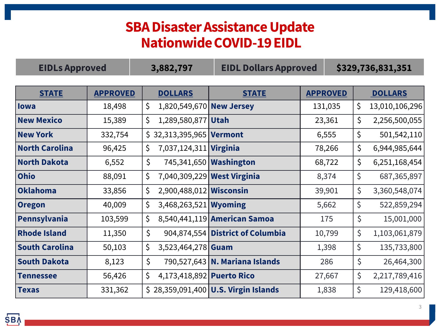### **SBA Disaster Assistance Update Nationwide COVID-19 EIDL**

| <b>EIDLs Approved</b> |                 | 3,882,797                       | <b>EIDL Dollars Approved</b>          |                 | \$329,736,831,351    |  |  |
|-----------------------|-----------------|---------------------------------|---------------------------------------|-----------------|----------------------|--|--|
|                       |                 |                                 |                                       |                 |                      |  |  |
| <b>STATE</b>          | <b>APPROVED</b> | <b>DOLLARS</b>                  | <b>STATE</b>                          | <b>APPROVED</b> | <b>DOLLARS</b>       |  |  |
| lowa                  | 18,498          | \$<br>1,820,549,670 New Jersey  |                                       | 131,035         | \$<br>13,010,106,296 |  |  |
| <b>New Mexico</b>     | 15,389          | \$<br>1,289,580,877 Utah        |                                       | 23,361          | \$<br>2,256,500,055  |  |  |
| <b>New York</b>       | 332,754         | $$32,313,395,965$ Vermont       |                                       | 6,555           | \$<br>501,542,110    |  |  |
| <b>North Carolina</b> | 96,425          | \$<br>7,037,124,311 Virginia    |                                       | 78,266          | \$<br>6,944,985,644  |  |  |
| <b>North Dakota</b>   | 6,552           | $\zeta$                         | 745,341,650 <b>Washington</b>         | 68,722          | \$<br>6,251,168,454  |  |  |
| <b>Ohio</b>           | 88,091          | \$                              | 7,040,309,229 West Virginia           | 8,374           | \$<br>687, 365, 897  |  |  |
| Oklahoma              | 33,856          | \$<br>2,900,488,012 Wisconsin   |                                       | 39,901          | \$<br>3,360,548,074  |  |  |
| <b>Oregon</b>         | 40,009          | \$<br>$3,468,263,521$ Wyoming   |                                       | 5,662           | \$<br>522,859,294    |  |  |
| Pennsylvania          | 103,599         | \$                              | 8,540,441,119 American Samoa          | 175             | \$<br>15,001,000     |  |  |
| <b>Rhode Island</b>   | 11,350          | \$                              | 904,874,554 District of Columbia      | 10,799          | \$<br>1,103,061,879  |  |  |
| <b>South Carolina</b> | 50,103          | \$<br>$3,523,464,278$ Guam      |                                       | 1,398           | \$<br>135,733,800    |  |  |
| <b>South Dakota</b>   | 8,123           | \$                              | 790,527,643 N. Mariana Islands        | 286             | \$<br>26,464,300     |  |  |
| <b>Tennessee</b>      | 56,426          | \$<br>4,173,418,892 Puerto Rico |                                       | 27,667          | \$<br>2,217,789,416  |  |  |
| <b>Texas</b>          | 331,362         |                                 | $$28,359,091,400$ U.S. Virgin Islands | 1,838           | \$<br>129,418,600    |  |  |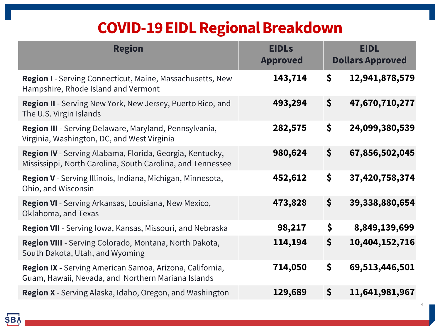# **COVID-19 EIDL Regional Breakdown**

| <b>Region</b>                                                                                                          | <b>EIDLs</b><br><b>Approved</b> |                      | <b>EIDL</b><br><b>Dollars Approved</b> |
|------------------------------------------------------------------------------------------------------------------------|---------------------------------|----------------------|----------------------------------------|
| <b>Region I</b> - Serving Connecticut, Maine, Massachusetts, New<br>Hampshire, Rhode Island and Vermont                | 143,714                         | \$                   | 12,941,878,579                         |
| Region II - Serving New York, New Jersey, Puerto Rico, and<br>The U.S. Virgin Islands                                  | 493,294                         | \$                   | 47,670,710,277                         |
| Region III - Serving Delaware, Maryland, Pennsylvania,<br>Virginia, Washington, DC, and West Virginia                  | 282,575                         | \$                   | 24,099,380,539                         |
| Region IV - Serving Alabama, Florida, Georgia, Kentucky,<br>Mississippi, North Carolina, South Carolina, and Tennessee | 980,624                         | $\boldsymbol{\zeta}$ | 67,856,502,045                         |
| Region V - Serving Illinois, Indiana, Michigan, Minnesota,<br>Ohio, and Wisconsin                                      | 452,612                         | \$                   | 37,420,758,374                         |
| Region VI - Serving Arkansas, Louisiana, New Mexico,<br>Oklahoma, and Texas                                            | 473,828                         | \$                   | 39,338,880,654                         |
| <b>Region VII</b> - Serving Iowa, Kansas, Missouri, and Nebraska                                                       | 98,217                          | \$                   | 8,849,139,699                          |
| Region VIII - Serving Colorado, Montana, North Dakota,<br>South Dakota, Utah, and Wyoming                              | 114,194                         | \$                   | 10,404,152,716                         |
| Region IX - Serving American Samoa, Arizona, California,<br>Guam, Hawaii, Nevada, and Northern Mariana Islands         | 714,050                         | \$                   | 69,513,446,501                         |
| <b>Region X</b> - Serving Alaska, Idaho, Oregon, and Washington                                                        | 129,689                         | $\boldsymbol{\zeta}$ | 11,641,981,967                         |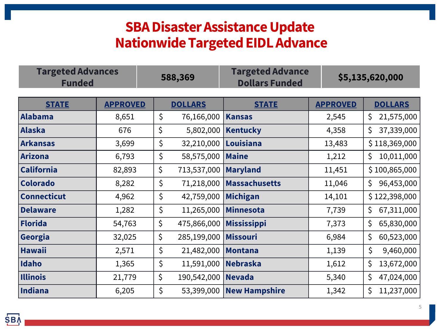### **SBA Disaster Assistance Update Nationwide Targeted EIDL Advance**

| <b>Targeted Advances</b><br><b>Funded</b> |                 | 588,369 |                | <b>Targeted Advance</b><br><b>Dollars Funded</b> |                 | \$5,135,620,000  |  |  |
|-------------------------------------------|-----------------|---------|----------------|--------------------------------------------------|-----------------|------------------|--|--|
| <b>STATE</b>                              | <b>APPROVED</b> |         | <b>DOLLARS</b> | <b>STATE</b>                                     | <b>APPROVED</b> | <b>DOLLARS</b>   |  |  |
| Alabama                                   | 8,651           | $\zeta$ | 76,166,000     | <b>Kansas</b>                                    | 2,545           | 21,575,000<br>\$ |  |  |
| Alaska                                    | 676             | \$      | 5,802,000      | <b>Kentucky</b>                                  | 4,358           | 37,339,000<br>\$ |  |  |
| <b>Arkansas</b>                           | 3,699           | \$      | 32,210,000     | Louisiana                                        | 13,483          | \$118,369,000    |  |  |
| <b>Arizona</b>                            | 6,793           | \$      | 58,575,000     | <b>Maine</b>                                     | 1,212           | \$<br>10,011,000 |  |  |
| <b>California</b>                         | 82,893          | \$      | 713,537,000    | <b>Maryland</b>                                  | 11,451          | \$100,865,000    |  |  |
| <b>Colorado</b>                           | 8,282           | \$      | 71,218,000     | <b>Massachusetts</b>                             | 11,046          | \$<br>96,453,000 |  |  |
| <b>Connecticut</b>                        | 4,962           | $\zeta$ | 42,759,000     | <b>Michigan</b>                                  | 14,101          | \$122,398,000    |  |  |
| <b>Delaware</b>                           | 1,282           | $\zeta$ | 11,265,000     | <b>Minnesota</b>                                 | 7,739           | \$<br>67,311,000 |  |  |
| Florida                                   | 54,763          | \$      | 475,866,000    | <b>Mississippi</b>                               | 7,373           | 65,830,000<br>\$ |  |  |
| Georgia                                   | 32,025          | \$      | 285,199,000    | <b>Missouri</b>                                  | 6,984           | \$<br>60,523,000 |  |  |
| <b>Hawaii</b>                             | 2,571           | $\zeta$ | 21,482,000     | <b>Montana</b>                                   | 1,139           | \$<br>9,460,000  |  |  |
| Idaho                                     | 1,365           | \$      | 11,591,000     | <b>Nebraska</b>                                  | 1,612           | \$<br>13,672,000 |  |  |
| <b>Illinois</b>                           | 21,779          | \$      | 190,542,000    | <b>Nevada</b>                                    | 5,340           | \$<br>47,024,000 |  |  |
| Indiana                                   | 6,205           | \$      |                | 53,399,000   New Hampshire                       | 1,342           | \$<br>11,237,000 |  |  |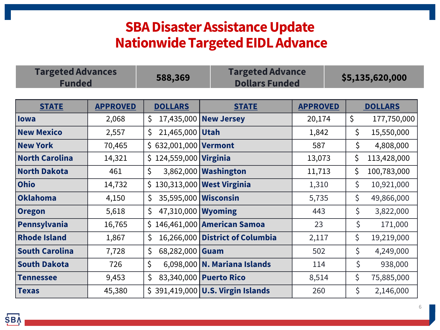### **SBA Disaster Assistance Update Nationwide Targeted EIDL Advance**

| <b>Targeted Advances</b><br><b>Funded</b> | 588,369 | <b>Targeted Advance</b><br><b>Dollars Funded</b> | \$5,135,620,000 |
|-------------------------------------------|---------|--------------------------------------------------|-----------------|
|-------------------------------------------|---------|--------------------------------------------------|-----------------|

| <b>STATE</b>          | <b>APPROVED</b> | <b>DOLLARS</b>               | <b>STATE</b>                      | <b>APPROVED</b> | <b>DOLLARS</b>    |
|-----------------------|-----------------|------------------------------|-----------------------------------|-----------------|-------------------|
| lowa                  | 2,068           | \$<br>17,435,000             | <b>New Jersey</b>                 | 20,174          | \$<br>177,750,000 |
| <b>New Mexico</b>     | 2,557           | 21,465,000<br>\$             | <b>Utah</b>                       | 1,842           | \$<br>15,550,000  |
| <b>New York</b>       | 70,465          | $$632,001,000$ Vermont       |                                   | 587             | \$<br>4,808,000   |
| <b>North Carolina</b> | 14,321          | $$124,559,000$ Virginia      |                                   | 13,073          | \$<br>113,428,000 |
| <b>North Dakota</b>   | 461             | \$                           | 3,862,000   Washington            | 11,713          | \$<br>100,783,000 |
| <b>Ohio</b>           | 14,732          | \$130,313,000 West Virginia  |                                   | 1,310           | \$<br>10,921,000  |
| <b>Oklahoma</b>       | 4,150           | 35,595,000   Wisconsin<br>\$ |                                   | 5,735           | \$<br>49,866,000  |
| <b>Oregon</b>         | 5,618           | 47,310,000<br>\$             | <b>Wyoming</b>                    | 443             | \$<br>3,822,000   |
| Pennsylvania          | 16,765          |                              | \$146,461,000 American Samoa      | 23              | \$<br>171,000     |
| <b>Rhode Island</b>   | 1,867           | \$<br>16,266,000             | <b>District of Columbia</b>       | 2,117           | \$<br>19,219,000  |
| <b>South Carolina</b> | 7,728           | \$<br>68,282,000             | Guam                              | 502             | \$<br>4,249,000   |
| <b>South Dakota</b>   | 726             | \$                           | 6,098,000   N. Mariana Islands    | 114             | \$<br>938,000     |
| <b>Tennessee</b>      | 9,453           | \$                           | 83,340,000 Puerto Rico            | 8,514           | \$<br>75,885,000  |
| <b>Texas</b>          | 45,380          |                              | \$391,419,000 U.S. Virgin Islands | 260             | \$<br>2,146,000   |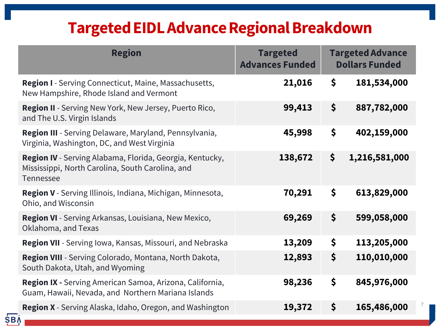# **Targeted EIDL Advance Regional Breakdown**

| <b>Region</b>                                                                                                             | <b>Targeted</b><br><b>Advances Funded</b> | <b>Targeted Advance</b><br><b>Dollars Funded</b> |
|---------------------------------------------------------------------------------------------------------------------------|-------------------------------------------|--------------------------------------------------|
| <b>Region I</b> - Serving Connecticut, Maine, Massachusetts,<br>New Hampshire, Rhode Island and Vermont                   | 21,016                                    | \$<br>181,534,000                                |
| Region II - Serving New York, New Jersey, Puerto Rico,<br>and The U.S. Virgin Islands                                     | 99,413                                    | \$<br>887,782,000                                |
| Region III - Serving Delaware, Maryland, Pennsylvania,<br>Virginia, Washington, DC, and West Virginia                     | 45,998                                    | \$<br>402,159,000                                |
| Region IV - Serving Alabama, Florida, Georgia, Kentucky,<br>Mississippi, North Carolina, South Carolina, and<br>Tennessee | 138,672                                   | \$<br>1,216,581,000                              |
| Region V - Serving Illinois, Indiana, Michigan, Minnesota,<br>Ohio, and Wisconsin                                         | 70,291                                    | \$<br>613,829,000                                |
| Region VI - Serving Arkansas, Louisiana, New Mexico,<br>Oklahoma, and Texas                                               | 69,269                                    | \$<br>599,058,000                                |
| Region VII - Serving Iowa, Kansas, Missouri, and Nebraska                                                                 | 13,209                                    | \$<br>113,205,000                                |
| Region VIII - Serving Colorado, Montana, North Dakota,<br>South Dakota, Utah, and Wyoming                                 | 12,893                                    | \$<br>110,010,000                                |
| Region IX - Serving American Samoa, Arizona, California,<br>Guam, Hawaii, Nevada, and Northern Mariana Islands            | 98,236                                    | \$<br>845,976,000                                |
| Region X - Serving Alaska, Idaho, Oregon, and Washington<br><b>SBA</b>                                                    | 19,372                                    | \$<br>165,486,000                                |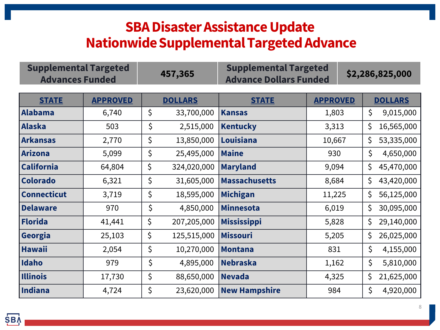### **SBA Disaster Assistance Update Nationwide Supplemental Targeted Advance**

| <b>Supplemental Targeted</b><br><b>Advances Funded</b> |                 | 457,365           | <b>Supplemental Targeted</b><br><b>Advance Dollars Funded</b> |                 |  |     | \$2,286,825,000 |  |
|--------------------------------------------------------|-----------------|-------------------|---------------------------------------------------------------|-----------------|--|-----|-----------------|--|
| <b>STATE</b>                                           | <b>APPROVED</b> | <b>DOLLARS</b>    | <b>STATE</b>                                                  | <b>APPROVED</b> |  |     | <b>DOLLARS</b>  |  |
| <b>Alabama</b>                                         | 6,740           | \$<br>33,700,000  | <b>Kansas</b>                                                 | 1,803           |  | \$  | 9,015,000       |  |
| <b>Alaska</b>                                          | 503             | \$<br>2,515,000   | <b>Kentucky</b>                                               | 3,313           |  | \$  | 16,565,000      |  |
| <b>Arkansas</b>                                        | 2,770           | \$<br>13,850,000  | Louisiana                                                     | 10,667          |  | \$. | 53,335,000      |  |
| <b>Arizona</b>                                         | 5,099           | \$<br>25,495,000  | <b>Maine</b>                                                  | 930             |  | \$  | 4,650,000       |  |
| <b>California</b>                                      | 64,804          | \$<br>324,020,000 | <b>Maryland</b>                                               | 9,094           |  | \$  | 45,470,000      |  |
| <b>Colorado</b>                                        | 6,321           | \$<br>31,605,000  | <b>Massachusetts</b>                                          | 8,684           |  | \$  | 43,420,000      |  |
| <b>Connecticut</b>                                     | 3,719           | \$<br>18,595,000  | <b>Michigan</b>                                               | 11,225          |  | \$  | 56,125,000      |  |
| <b>Delaware</b>                                        | 970             | \$<br>4,850,000   | <b>Minnesota</b>                                              | 6,019           |  | \$  | 30,095,000      |  |
| <b>Florida</b>                                         | 41,441          | \$<br>207,205,000 | <b>Mississippi</b>                                            | 5,828           |  | \$. | 29,140,000      |  |
| Georgia                                                | 25,103          | \$<br>125,515,000 | <b>Missouri</b>                                               | 5,205           |  | \$  | 26,025,000      |  |
| <b>Hawaii</b>                                          | 2,054           | \$<br>10,270,000  | <b>Montana</b>                                                | 831             |  | \$  | 4,155,000       |  |
| Idaho                                                  | 979             | \$<br>4,895,000   | <b>Nebraska</b>                                               | 1,162           |  | \$  | 5,810,000       |  |
| <b>Illinois</b>                                        | 17,730          | \$<br>88,650,000  | <b>Nevada</b>                                                 | 4,325           |  | \$  | 21,625,000      |  |
| <b>Indiana</b>                                         | 4,724           | \$<br>23,620,000  | <b>New Hampshire</b>                                          | 984             |  | \$  | 4,920,000       |  |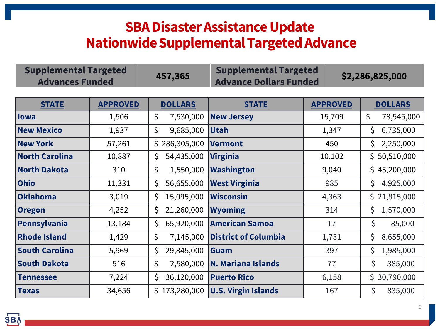### **SBA Disaster Assistance Update Nationwide Supplemental Targeted Advance**

| <b>Supplemental Targeted</b><br><b>Advances Funded</b> | 457,365 | <b>Supplemental Targeted</b><br><b>Advance Dollars Funded</b> | \$2,286,825,000 |
|--------------------------------------------------------|---------|---------------------------------------------------------------|-----------------|
|--------------------------------------------------------|---------|---------------------------------------------------------------|-----------------|

| <b>STATE</b>          | <b>APPROVED</b> | <b>DOLLARS</b>   | <b>STATE</b>                | <b>APPROVED</b> | <b>DOLLARS</b>   |
|-----------------------|-----------------|------------------|-----------------------------|-----------------|------------------|
| <b>lowa</b>           | 1,506           | \$<br>7,530,000  | <b>New Jersey</b>           | 15,709          | \$<br>78,545,000 |
| <b>New Mexico</b>     | 1,937           | \$<br>9,685,000  | <b>Utah</b>                 | 1,347           | \$.<br>6,735,000 |
| <b>New York</b>       | 57,261          | \$286,305,000    | <b>Vermont</b>              | 450             | 2,250,000<br>Ś.  |
| <b>North Carolina</b> | 10,887          | 54,435,000<br>Ś  | <b>Virginia</b>             | 10,102          | \$50,510,000     |
| <b>North Dakota</b>   | 310             | \$<br>1,550,000  | <b>Washington</b>           | 9,040           | \$45,200,000     |
| <b>Ohio</b>           | 11,331          | 56,655,000<br>\$ | <b>West Virginia</b>        | 985             | \$.<br>4,925,000 |
| <b>Oklahoma</b>       | 3,019           | 15,095,000<br>\$ | <b>Wisconsin</b>            | 4,363           | \$21,815,000     |
| <b>Oregon</b>         | 4,252           | 21,260,000<br>\$ | <b>Wyoming</b>              | 314             | 1,570,000<br>\$. |
| Pennsylvania          | 13,184          | \$<br>65,920,000 | <b>American Samoa</b>       | 17              | \$<br>85,000     |
| <b>Rhode Island</b>   | 1,429           | \$<br>7,145,000  | <b>District of Columbia</b> | 1,731           | \$.<br>8,655,000 |
| <b>South Carolina</b> | 5,969           | \$<br>29,845,000 | Guam                        | 397             | Ś.<br>1,985,000  |
| <b>South Dakota</b>   | 516             | \$<br>2,580,000  | <b>N. Mariana Islands</b>   | 77              | \$<br>385,000    |
| <b>Tennessee</b>      | 7,224           | 36,120,000       | <b>Puerto Rico</b>          | 6,158           | \$30,790,000     |
| <b>Texas</b>          | 34,656          | \$173,280,000    | <b>U.S. Virgin Islands</b>  | 167             | \$<br>835,000    |